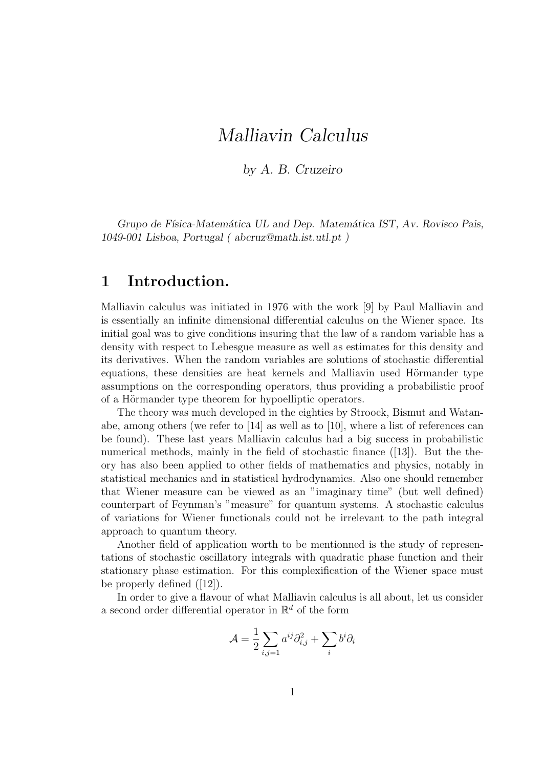# Malliavin Calculus

by A. B. Cruzeiro

Grupo de Física-Matemática UL and Dep. Matemática IST, Av. Rovisco Pais, 1049-001 Lisboa, Portugal ( abcruz@math.ist.utl.pt )

## 1 Introduction.

Malliavin calculus was initiated in 1976 with the work [9] by Paul Malliavin and is essentially an infinite dimensional differential calculus on the Wiener space. Its initial goal was to give conditions insuring that the law of a random variable has a density with respect to Lebesgue measure as well as estimates for this density and its derivatives. When the random variables are solutions of stochastic differential equations, these densities are heat kernels and Malliavin used Hörmander type assumptions on the corresponding operators, thus providing a probabilistic proof of a Hörmander type theorem for hypoelliptic operators.

The theory was much developed in the eighties by Stroock, Bismut and Watanabe, among others (we refer to [14] as well as to [10], where a list of references can be found). These last years Malliavin calculus had a big success in probabilistic numerical methods, mainly in the field of stochastic finance ([13]). But the theory has also been applied to other fields of mathematics and physics, notably in statistical mechanics and in statistical hydrodynamics. Also one should remember that Wiener measure can be viewed as an "imaginary time" (but well defined) counterpart of Feynman's "measure" for quantum systems. A stochastic calculus of variations for Wiener functionals could not be irrelevant to the path integral approach to quantum theory.

Another field of application worth to be mentionned is the study of representations of stochastic oscillatory integrals with quadratic phase function and their stationary phase estimation. For this complexification of the Wiener space must be properly defined ([12]).

In order to give a flavour of what Malliavin calculus is all about, let us consider a second order differential operator in  $\mathbb{R}^d$  of the form

$$
\mathcal{A} = \frac{1}{2} \sum_{i,j=1} a^{ij} \partial_{i,j}^2 + \sum_i b^i \partial_i
$$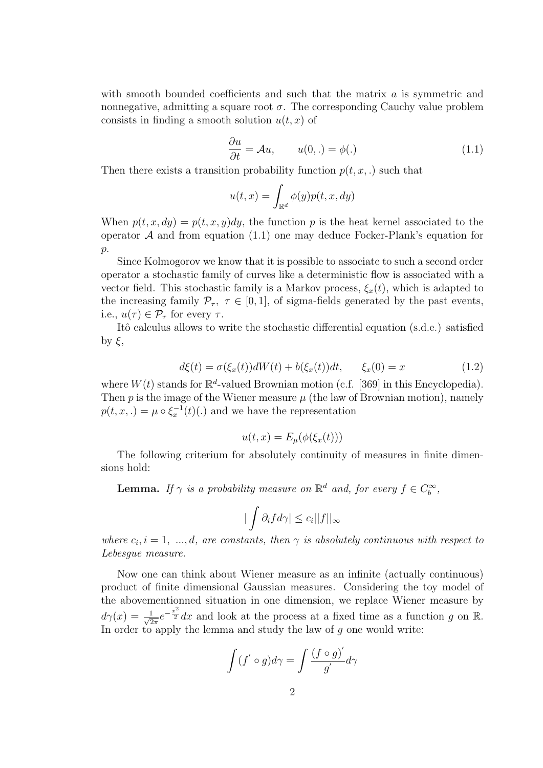with smooth bounded coefficients and such that the matrix  $a$  is symmetric and nonnegative, admitting a square root  $\sigma$ . The corresponding Cauchy value problem consists in finding a smooth solution  $u(t, x)$  of

$$
\frac{\partial u}{\partial t} = \mathcal{A}u, \qquad u(0,.) = \phi(.) \tag{1.1}
$$

Then there exists a transition probability function  $p(t, x, \cdot)$  such that

$$
u(t,x) = \int_{\mathbb{R}^d} \phi(y) p(t,x,dy)
$$

When  $p(t, x, dy) = p(t, x, y)dy$ , the function p is the heat kernel associated to the operator  $A$  and from equation (1.1) one may deduce Focker-Plank's equation for  $p$ .

Since Kolmogorov we know that it is possible to associate to such a second order operator a stochastic family of curves like a deterministic flow is associated with a vector field. This stochastic family is a Markov process,  $\xi_x(t)$ , which is adapted to the increasing family  $\mathcal{P}_{\tau}$ ,  $\tau \in [0, 1]$ , of sigma-fields generated by the past events, i.e.,  $u(\tau) \in \mathcal{P}_{\tau}$  for every  $\tau$ .

Itô calculus allows to write the stochastic differential equation (s.d.e.) satisfied by  $\xi$ ,

$$
d\xi(t) = \sigma(\xi_x(t))dW(t) + b(\xi_x(t))dt, \qquad \xi_x(0) = x \tag{1.2}
$$

where  $W(t)$  stands for  $\mathbb{R}^d$ -valued Brownian motion (c.f. [369] in this Encyclopedia). Then  $p$  is the image of the Wiener measure  $\mu$  (the law of Brownian motion), namely  $p(t, x, \cdot) = \mu \circ \xi_x^{-1}(t)$ . and we have the representation

$$
u(t,x) = E_{\mu}(\phi(\xi_x(t)))
$$

The following criterium for absolutely continuity of measures in finite dimensions hold:

**Lemma.** If  $\gamma$  is a probability measure on  $\mathbb{R}^d$  and, for every  $f \in C_b^{\infty}$ ,

$$
|\int \partial_i f d\gamma| \leq c_i ||f||_{\infty}
$$

where  $c_i$ ,  $i = 1, ..., d$ , are constants, then  $\gamma$  is absolutely continuous with respect to Lebesgue measure.

Now one can think about Wiener measure as an infinite (actually continuous) product of finite dimensional Gaussian measures. Considering the toy model of the abovementionned situation in one dimension, we replace Wiener measure by  $d\gamma(x) = \frac{1}{\sqrt{2}}$  $\frac{1}{2\pi}e^{-\frac{x^2}{2}}dx$  and look at the process at a fixed time as a function g on R. In order to apply the lemma and study the law of g one would write:

$$
\int (f' \circ g) d\gamma = \int \frac{(f \circ g)'}{g'} d\gamma
$$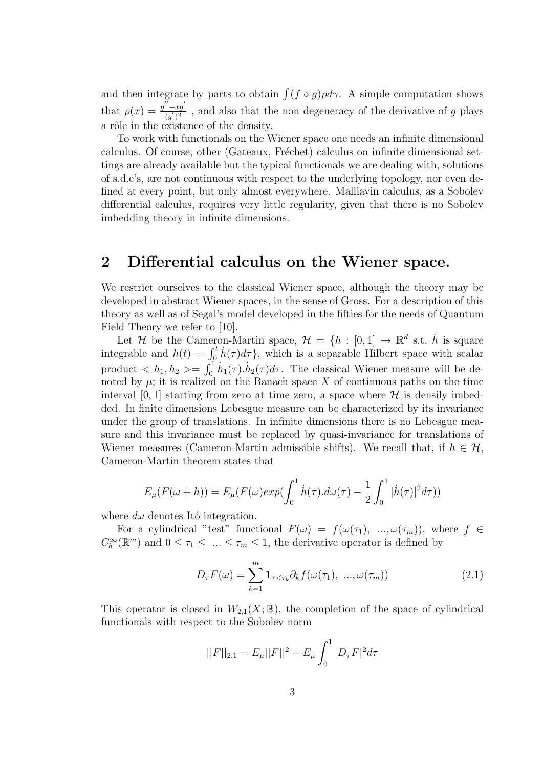and then integrate by parts to obtain  $\int (f \circ g) \rho d\gamma$ . A simple computation shows that  $\rho(x) = \frac{g'' + x g'}{(g')^2}$  $\frac{+xg}{(g')^2}$ , and also that the non degeneracy of the derivative of g plays a rôle in the existence of the density.

To work with functionals on the Wiener space one needs an infinite dimensional calculus. Of course, other (Gateaux, Fréchet) calculus on infinite dimensional settings are already available but the typical functionals we are dealing with, solutions of s.d.e's, are not continuous with respect to the underlying topology, nor even defined at every point, but only almost everywhere. Malliavin calculus, as a Sobolev differential calculus, requires very little regularity, given that there is no Sobolev imbedding theory in infinite dimensions.

### 2 Differential calculus on the Wiener space.

We restrict ourselves to the classical Wiener space, although the theory may be developed in abstract Wiener spaces, in the sense of Gross. For a description of this theory as well as of Segal's model developed in the fifties for the needs of Quantum Field Theory we refer to [10].

Let H be the Cameron-Martin space,  $\mathcal{H} = \{h : [0,1] \to \mathbb{R}^d \text{ s.t. } \dot{h} \text{ is square}\}\$ integrable and  $h(t) = \int_0^t \dot{h}(\tau) d\tau$ , which is a separable Hilbert space with scalar product  $\langle h_1, h_2 \rangle = \int_0^1 h_1(\tau) \cdot h_2(\tau) d\tau$ . The classical Wiener measure will be denoted by  $\mu$ ; it is realized on the Banach space X of continuous paths on the time interval [0, 1] starting from zero at time zero, a space where  $\mathcal H$  is densily imbedded. In finite dimensions Lebesgue measure can be characterized by its invariance under the group of translations. In infinite dimensions there is no Lebesgue measure and this invariance must be replaced by quasi-invariance for translations of Wiener measures (Cameron-Martin admissible shifts). We recall that, if  $h \in \mathcal{H}$ , Cameron-Martin theorem states that

$$
E_{\mu}(F(\omega+h)) = E_{\mu}(F(\omega)exp(\int_0^1 \dot{h}(\tau).d\omega(\tau) - \frac{1}{2}\int_0^1 |\dot{h}(\tau)|^2 d\tau))
$$

where  $d\omega$  denotes Itô integration.

For a cylindrical "test" functional  $F(\omega) = f(\omega(\tau_1), \ldots, \omega(\tau_m))$ , where  $f \in$  $C_b^{\infty}(\mathbb{R}^m)$  and  $0 \leq \tau_1 \leq ... \leq \tau_m \leq 1$ , the derivative operator is defined by

$$
D_{\tau}F(\omega) = \sum_{k=1}^{m} \mathbf{1}_{\tau < \tau_k} \partial_k f(\omega(\tau_1), \dots, \omega(\tau_m))
$$
\n(2.1)

This operator is closed in  $W_{2,1}(X;\mathbb{R})$ , the completion of the space of cylindrical functionals with respect to the Sobolev norm

$$
||F||_{2,1} = E_{\mu}||F||^2 + E_{\mu} \int_0^1 |D_{\tau}F|^2 d\tau
$$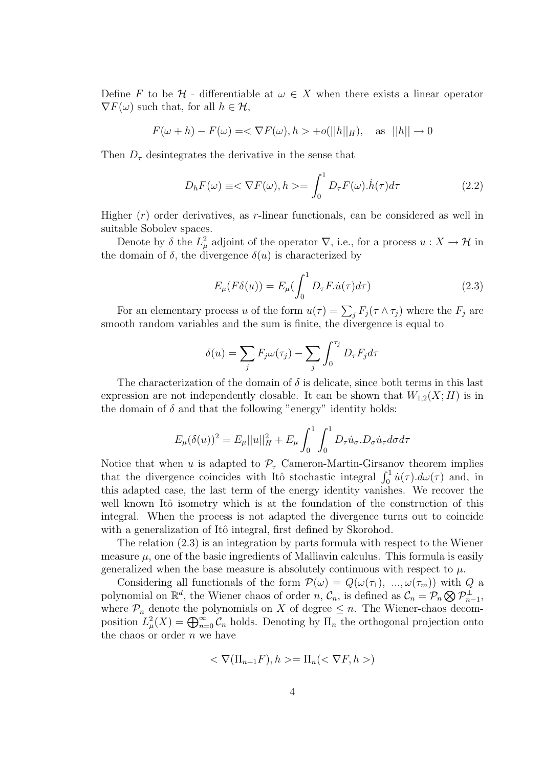Define F to be H - differentiable at  $\omega \in X$  when there exists a linear operator  $\nabla F(\omega)$  such that, for all  $h \in \mathcal{H}$ ,

$$
F(\omega + h) - F(\omega) = \langle \nabla F(\omega), h \rangle + o(||h||_H), \text{ as } ||h|| \to 0
$$

Then  $D_{\tau}$  desintegrates the derivative in the sense that

$$
D_h F(\omega) \equiv \langle \nabla F(\omega), h \rangle = \int_0^1 D_\tau F(\omega) \dot{h}(\tau) d\tau \tag{2.2}
$$

Higher  $(r)$  order derivatives, as r-linear functionals, can be considered as well in suitable Sobolev spaces.

Denote by  $\delta$  the  $L^2_\mu$  adjoint of the operator  $\nabla$ , i.e., for a process  $u: X \to \mathcal{H}$  in the domain of  $\delta$ , the divergence  $\delta(u)$  is characterized by

$$
E_{\mu}(F\delta(u)) = E_{\mu}(\int_0^1 D_{\tau}F \dot{u}(\tau)d\tau)
$$
\n(2.3)

For an elementary process u of the form  $u(\tau) = \sum_j F_j(\tau \wedge \tau_j)$  where the  $F_j$  are smooth random variables and the sum is finite, the divergence is equal to

$$
\delta(u) = \sum_j F_j \omega(\tau_j) - \sum_j \int_0^{\tau_j} D_{\tau} F_j d\tau
$$

The characterization of the domain of  $\delta$  is delicate, since both terms in this last expression are not independently closable. It can be shown that  $W_{1,2}(X;H)$  is in the domain of  $\delta$  and that the following "energy" identity holds:

$$
E_{\mu}(\delta(u))^{2} = E_{\mu}||u||_{H}^{2} + E_{\mu} \int_{0}^{1} \int_{0}^{1} D_{\tau} \dot{u}_{\sigma} D_{\sigma} \dot{u}_{\tau} d\sigma d\tau
$$

Notice that when u is adapted to  $\mathcal{P}_{\tau}$  Cameron-Martin-Girsanov theorem implies that the divergence coincides with Itô stochastic integral  $\int_0^1 \dot{u}(\tau) d\omega(\tau)$  and, in this adapted case, the last term of the energy identity vanishes. We recover the well known Itô isometry which is at the foundation of the construction of this integral. When the process is not adapted the divergence turns out to coincide with a generalization of Itô integral, first defined by Skorohod.

The relation (2.3) is an integration by parts formula with respect to the Wiener measure  $\mu$ , one of the basic ingredients of Malliavin calculus. This formula is easily generalized when the base measure is absolutely continuous with respect to  $\mu$ .

Considering all functionals of the form  $\mathcal{P}(\omega) = Q(\omega(\tau_1), \dots, \omega(\tau_m))$  with Q a polynomial on  $\mathbb{R}^d$ , the Wiener chaos of order  $n, \mathcal{C}_n$ , is defined as  $\mathcal{C}_n = \mathcal{P}_n \bigotimes \mathcal{P}_{n-1}^{\perp}$ , where  $P_n$  denote the polynomials on X of degree  $\leq n$ . The Wiener-chaos decomposition  $L^2_{\mu}(X) = \bigoplus_{n=0}^{\infty} C_n$  holds. Denoting by  $\Pi_n$  the orthogonal projection onto the chaos or order  $n$  we have

$$
\langle \nabla(\Pi_{n+1}F), h \rangle = \Pi_n(\langle \nabla F, h \rangle)
$$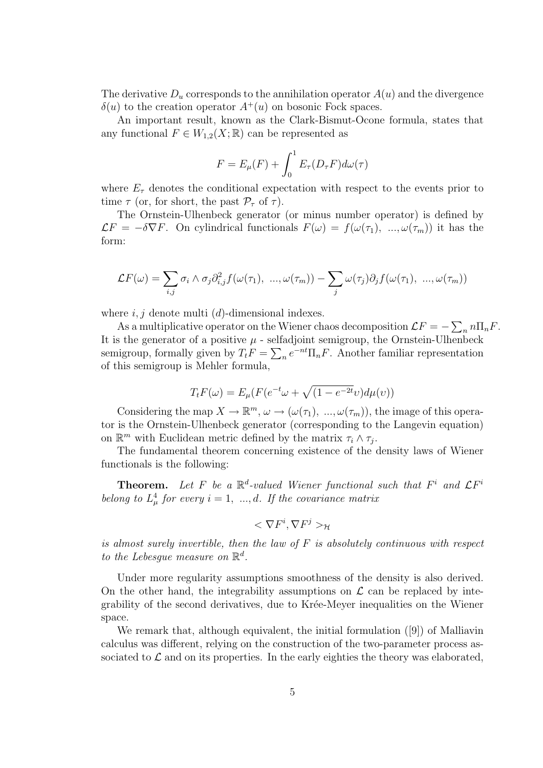The derivative  $D_u$  corresponds to the annihilation operator  $A(u)$  and the divergence  $\delta(u)$  to the creation operator  $A^+(u)$  on bosonic Fock spaces.

An important result, known as the Clark-Bismut-Ocone formula, states that any functional  $F \in W_{1,2}(X;\mathbb{R})$  can be represented as

$$
F = E_{\mu}(F) + \int_0^1 E_{\tau}(D_{\tau}F)d\omega(\tau)
$$

where  $E_{\tau}$  denotes the conditional expectation with respect to the events prior to time  $\tau$  (or, for short, the past  $\mathcal{P}_{\tau}$  of  $\tau$ ).

The Ornstein-Ulhenbeck generator (or minus number operator) is defined by  $\mathcal{L}F = -\delta \nabla F$ . On cylindrical functionals  $F(\omega) = f(\omega(\tau_1), \ldots, \omega(\tau_m))$  it has the form:

$$
\mathcal{L}F(\omega) = \sum_{i,j} \sigma_i \wedge \sigma_j \partial_{i,j}^2 f(\omega(\tau_1), \dots, \omega(\tau_m)) - \sum_j \omega(\tau_j) \partial_j f(\omega(\tau_1), \dots, \omega(\tau_m))
$$

where  $i, j$  denote multi  $(d)$ -dimensional indexes.

As a multiplicative operator on the Wiener chaos decomposition  $\mathcal{L}F = -\sum_{n} n \prod_{n} F$ . It is the generator of a positive  $\mu$  - selfadjoint semigroup, the Ornstein-Ulhenbeck semigroup, formally given by  $T_t F = \sum_n e^{-nt} \prod_n F$ . Another familiar representation of this semigroup is Mehler formula,

$$
T_t F(\omega) = E_{\mu} (F(e^{-t}\omega + \sqrt{(1 - e^{-2t}\omega)})d\mu(\nu))
$$

Considering the map  $X \to \mathbb{R}^m$ ,  $\omega \to (\omega(\tau_1), \ldots, \omega(\tau_m))$ , the image of this operator is the Ornstein-Ulhenbeck generator (corresponding to the Langevin equation) on  $\mathbb{R}^m$  with Euclidean metric defined by the matrix  $\tau_i \wedge \tau_j$ .

The fundamental theorem concerning existence of the density laws of Wiener functionals is the following:

**Theorem.** Let F be a  $\mathbb{R}^d$ -valued Wiener functional such that  $F^i$  and  $\mathcal{L}F^i$ belong to  $L^4_\mu$  for every  $i = 1, ..., d$ . If the covariance matrix

$$
<\nabla F^i,\nabla F^j>_{\mathcal{H}}
$$

is almost surely invertible, then the law of  $F$  is absolutely continuous with respect to the Lebesgue measure on  $\mathbb{R}^d$ .

Under more regularity assumptions smoothness of the density is also derived. On the other hand, the integrability assumptions on  $\mathcal L$  can be replaced by integrability of the second derivatives, due to Krée-Meyer inequalities on the Wiener space.

We remark that, although equivalent, the initial formulation ([9]) of Malliavin calculus was different, relying on the construction of the two-parameter process associated to  $\mathcal L$  and on its properties. In the early eighties the theory was elaborated,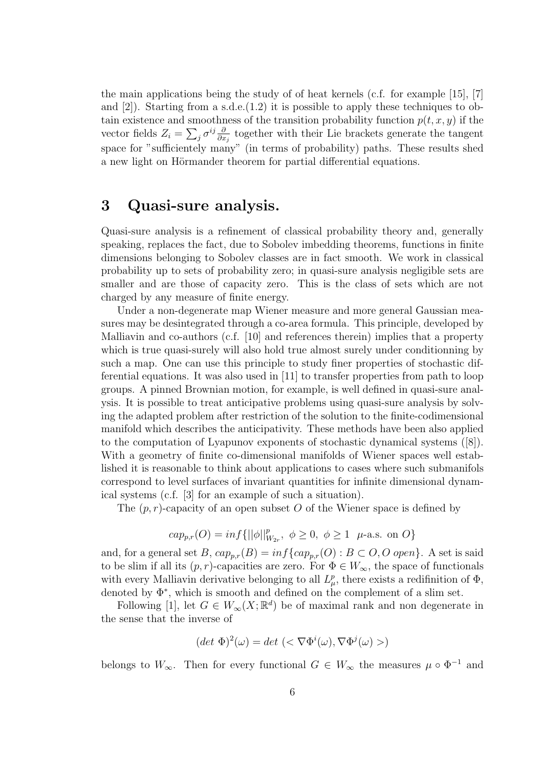the main applications being the study of of heat kernels (c.f. for example [15], [7] and  $[2]$ ). Starting from a s.d.e. $(1.2)$  it is possible to apply these techniques to obtain existence and smoothness of the transition probability function  $p(t, x, y)$  if the vector fields  $Z_i = \sum_j \sigma^{ij} \frac{\partial}{\partial x}$  $\frac{\partial}{\partial x_j}$  together with their Lie brackets generate the tangent space for "sufficientely many" (in terms of probability) paths. These results shed a new light on Hörmander theorem for partial differential equations.

## 3 Quasi-sure analysis.

Quasi-sure analysis is a refinement of classical probability theory and, generally speaking, replaces the fact, due to Sobolev imbedding theorems, functions in finite dimensions belonging to Sobolev classes are in fact smooth. We work in classical probability up to sets of probability zero; in quasi-sure analysis negligible sets are smaller and are those of capacity zero. This is the class of sets which are not charged by any measure of finite energy.

Under a non-degenerate map Wiener measure and more general Gaussian measures may be desintegrated through a co-area formula. This principle, developed by Malliavin and co-authors (c.f. [10] and references therein) implies that a property which is true quasi-surely will also hold true almost surely under conditionning by such a map. One can use this principle to study finer properties of stochastic differential equations. It was also used in [11] to transfer properties from path to loop groups. A pinned Brownian motion, for example, is well defined in quasi-sure analysis. It is possible to treat anticipative problems using quasi-sure analysis by solving the adapted problem after restriction of the solution to the finite-codimensional manifold which describes the anticipativity. These methods have been also applied to the computation of Lyapunov exponents of stochastic dynamical systems ([8]). With a geometry of finite co-dimensional manifolds of Wiener spaces well established it is reasonable to think about applications to cases where such submanifols correspond to level surfaces of invariant quantities for infinite dimensional dynamical systems (c.f. [3] for an example of such a situation).

The  $(p, r)$ -capacity of an open subset O of the Wiener space is defined by

$$
cap_{p,r}(O)=\inf\{||\phi||^p_{W_{2r}},\ \phi\geq 0,\ \phi\geq 1\ \ \mu\text{-a.s. on }O\}
$$

and, for a general set B,  $cap_{p,r}(B) = inf\{cap_{p,r}(O) : B \subset O, O \text{ open}\}\.$  A set is said to be slim if all its  $(p, r)$ -capacities are zero. For  $\Phi \in W_{\infty}$ , the space of functionals with every Malliavin derivative belonging to all  $L^p_\mu$ , there exists a redifinition of  $\Phi$ , denoted by Φ<sup>∗</sup> , which is smooth and defined on the complement of a slim set.

Following [1], let  $G \in W_{\infty}(X; \mathbb{R}^d)$  be of maximal rank and non degenerate in the sense that the inverse of

$$
(\det \Phi)^2(\omega) = \det \left( \langle \nabla \Phi^i(\omega), \nabla \Phi^j(\omega) \rangle \right)
$$

belongs to  $W_{\infty}$ . Then for every functional  $G \in W_{\infty}$  the measures  $\mu \circ \Phi^{-1}$  and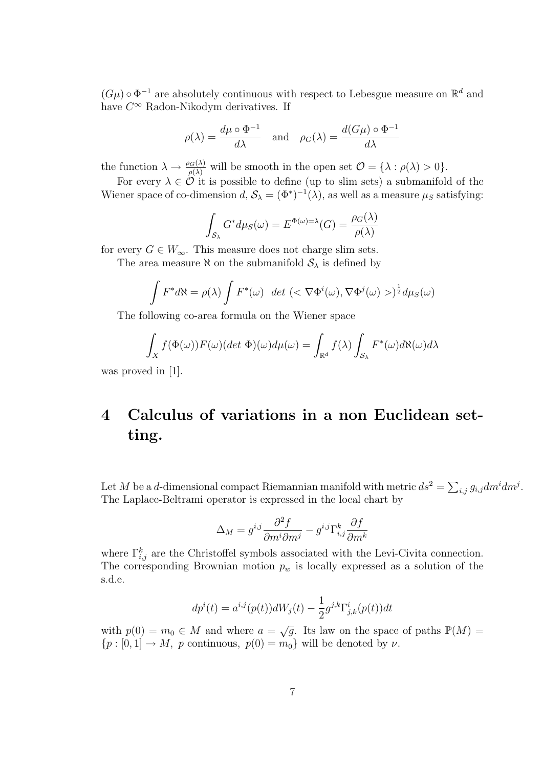$(G\mu) \circ \Phi^{-1}$  are absolutely continuous with respect to Lebesgue measure on  $\mathbb{R}^d$  and have  $C^{\infty}$  Radon-Nikodym derivatives. If

$$
\rho(\lambda) = \frac{d\mu \circ \Phi^{-1}}{d\lambda}
$$
 and  $\rho_G(\lambda) = \frac{d(G\mu) \circ \Phi^{-1}}{d\lambda}$ 

the function  $\lambda \to \frac{\rho_G(\lambda)}{\rho(\lambda)}$  will be smooth in the open set  $\mathcal{O} = {\lambda : \rho(\lambda) > 0}.$ 

For every  $\lambda \in \mathcal{O}$  it is possible to define (up to slim sets) a submanifold of the Wiener space of co-dimension  $d, S_\lambda = (\Phi^*)^{-1}(\lambda)$ , as well as a measure  $\mu_S$  satisfying:

$$
\int_{\mathcal{S}_{\lambda}} G^* d\mu_S(\omega) = E^{\Phi(\omega) = \lambda}(G) = \frac{\rho_G(\lambda)}{\rho(\lambda)}
$$

for every  $G \in W_{\infty}$ . This measure does not charge slim sets.

The area measure  $\aleph$  on the submanifold  $S_\lambda$  is defined by

$$
\int F^*d\aleph = \rho(\lambda)\int F^*(\omega) \ \det \left( \langle \nabla \Phi^i(\omega), \nabla \Phi^j(\omega) \rangle \right)^{\frac{1}{2}} d\mu_S(\omega)
$$

The following co-area formula on the Wiener space

$$
\int_X f(\Phi(\omega)) F(\omega) (det \ \Phi)(\omega) d\mu(\omega) = \int_{\mathbb{R}^d} f(\lambda) \int_{\mathcal{S}_{\lambda}} F^*(\omega) d\aleph(\omega) d\lambda
$$

was proved in [1].

# 4 Calculus of variations in a non Euclidean setting.

Let M be a d-dimensional compact Riemannian manifold with metric  $ds^2 = \sum_{i,j} g_{i,j} dm^i dm^j$ . The Laplace-Beltrami operator is expressed in the local chart by

$$
\Delta_M = g^{i,j} \frac{\partial^2 f}{\partial m^i \partial m^j} - g^{i,j} \Gamma^k_{i,j} \frac{\partial f}{\partial m^k}
$$

where  $\Gamma_{i,j}^k$  are the Christoffel symbols associated with the Levi-Civita connection. The corresponding Brownian motion  $p_w$  is locally expressed as a solution of the s.d.e.

$$
dp^{i}(t) = a^{i,j}(p(t))dW_{j}(t) - \frac{1}{2}g^{j,k}\Gamma^{i}_{j,k}(p(t))dt
$$

with  $p(0) = m_0 \in M$  and where  $a = \sqrt{g}$ . Its law on the space of paths  $\mathbb{P}(M)$  ${p : [0, 1] \rightarrow M, p \text{ continuous}, p(0) = m_0}$  will be denoted by  $\nu$ .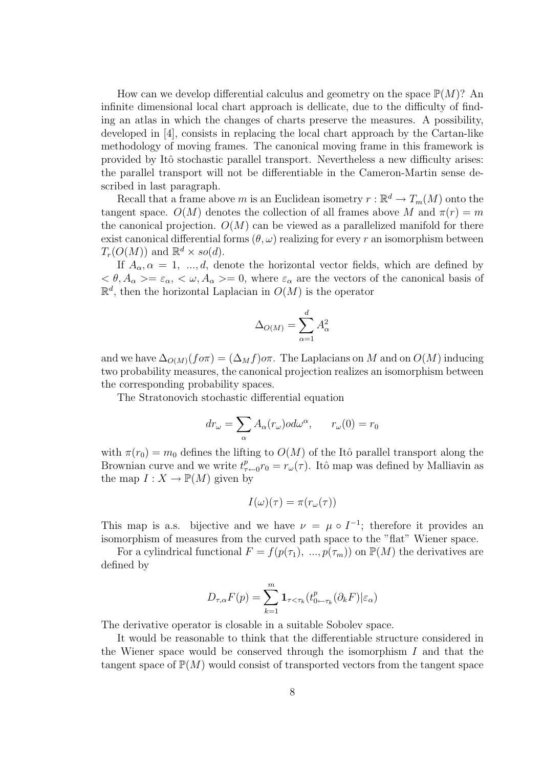How can we develop differential calculus and geometry on the space  $\mathbb{P}(M)$ ? An infinite dimensional local chart approach is dellicate, due to the difficulty of finding an atlas in which the changes of charts preserve the measures. A possibility, developed in [4], consists in replacing the local chart approach by the Cartan-like methodology of moving frames. The canonical moving frame in this framework is provided by Itˆo stochastic parallel transport. Nevertheless a new difficulty arises: the parallel transport will not be differentiable in the Cameron-Martin sense described in last paragraph.

Recall that a frame above m is an Euclidean isometry  $r : \mathbb{R}^d \to T_m(M)$  onto the tangent space.  $O(M)$  denotes the collection of all frames above M and  $\pi(r) = m$ the canonical projection.  $O(M)$  can be viewed as a parallelized manifold for there exist canonical differential forms  $(\theta, \omega)$  realizing for every r an isomorphism between  $T_r(O(M))$  and  $\mathbb{R}^d \times so(d)$ .

If  $A_{\alpha}, \alpha = 1, ..., d$ , denote the horizontal vector fields, which are defined by  $\langle \theta, A_{\alpha} \rangle = \varepsilon_{\alpha}, \langle \omega, A_{\alpha} \rangle = 0$ , where  $\varepsilon_{\alpha}$  are the vectors of the canonical basis of  $\mathbb{R}^d$ , then the horizontal Laplacian in  $O(M)$  is the operator

$$
\Delta_{O(M)} = \sum_{\alpha=1}^{d} A_{\alpha}^2
$$

and we have  $\Delta_{O(M)}(f \circ \pi) = (\Delta_M f) \circ \pi$ . The Laplacians on M and on  $O(M)$  inducing two probability measures, the canonical projection realizes an isomorphism between the corresponding probability spaces.

The Stratonovich stochastic differential equation

$$
dr_{\omega} = \sum_{\alpha} A_{\alpha}(r_{\omega}) \circ d\omega^{\alpha}, \qquad r_{\omega}(0) = r_0
$$

with  $\pi(r_0) = m_0$  defines the lifting to  $O(M)$  of the Itô parallel transport along the Brownian curve and we write  $t^p_\tau$  $r_{\tau \leftarrow 0} r_0 = r_\omega(\tau)$ . Itô map was defined by Malliavin as the map  $I: X \to \mathbb{P}(M)$  given by

$$
I(\omega)(\tau) = \pi(r_{\omega}(\tau))
$$

This map is a.s. bijective and we have  $\nu = \mu \circ I^{-1}$ ; therefore it provides an isomorphism of measures from the curved path space to the "flat" Wiener space.

For a cylindrical functional  $F = f(p(\tau_1), ..., p(\tau_m))$  on  $\mathbb{P}(M)$  the derivatives are defined by

$$
D_{\tau,\alpha}F(p) = \sum_{k=1}^{m} \mathbf{1}_{\tau < \tau_k} (t_{0\leftarrow \tau_k}^p(\partial_k F)|\varepsilon_\alpha)
$$

The derivative operator is closable in a suitable Sobolev space.

It would be reasonable to think that the differentiable structure considered in the Wiener space would be conserved through the isomorphism  $I$  and that the tangent space of  $\mathbb{P}(M)$  would consist of transported vectors from the tangent space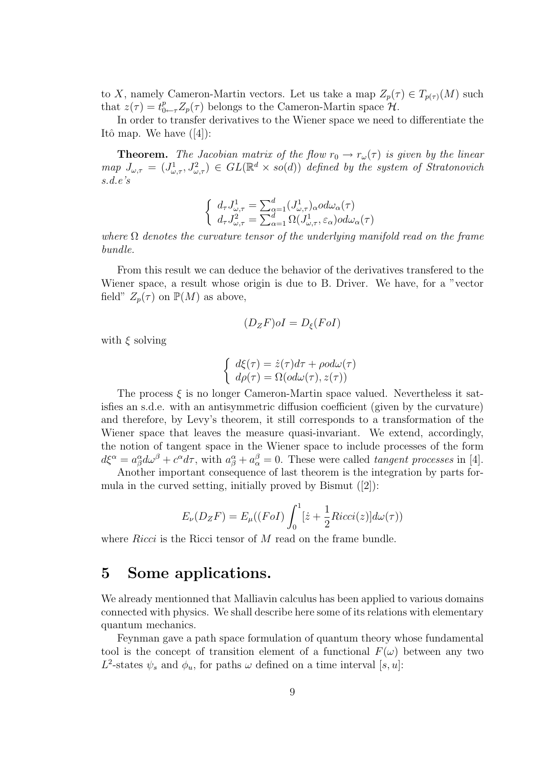to X, namely Cameron-Martin vectors. Let us take a map  $Z_p(\tau) \in T_{p(\tau)}(M)$  such that  $z(\tau) = t_{0 \leftarrow \tau}^p Z_p(\tau)$  belongs to the Cameron-Martin space  $\mathcal{H}$ .

In order to transfer derivatives to the Wiener space we need to differentiate the Itô map. We have  $([4])$ :

**Theorem.** The Jacobian matrix of the flow  $r_0 \rightarrow r_\omega(\tau)$  is given by the linear map  $J_{\omega,\tau} = (J^1_{\omega,\tau}, J^2_{\omega,\tau}) \in GL(\mathbb{R}^d \times so(d))$  defined by the system of Stratonovich s.d.e's

$$
\begin{cases} d_{\tau}J_{\omega,\tau}^{1} = \sum_{\alpha=1}^{d} (J_{\omega,\tau}^{1})_{\alpha}od\omega_{\alpha}(\tau) \\ d_{\tau}J_{\omega,\tau}^{2} = \sum_{\alpha=1}^{d} \Omega(J_{\omega,\tau}^{1},\varepsilon_{\alpha})od\omega_{\alpha}(\tau) \end{cases}
$$

where  $\Omega$  denotes the curvature tensor of the underlying manifold read on the frame bundle.

From this result we can deduce the behavior of the derivatives transfered to the Wiener space, a result whose origin is due to B. Driver. We have, for a "vector field"  $Z_p(\tau)$  on  $\mathbb{P}(M)$  as above,

$$
(D_ZF)oI = D_{\xi}(FoI)
$$

with  $\xi$  solving

$$
\begin{cases} d\xi(\tau) = \dot{z}(\tau)d\tau + \rho o d\omega(\tau) \\ d\rho(\tau) = \Omega( o d\omega(\tau), z(\tau)) \end{cases}
$$

The process  $\xi$  is no longer Cameron-Martin space valued. Nevertheless it satisfies an s.d.e. with an antisymmetric diffusion coefficient (given by the curvature) and therefore, by Levy's theorem, it still corresponds to a transformation of the Wiener space that leaves the measure quasi-invariant. We extend, accordingly, the notion of tangent space in the Wiener space to include processes of the form  $d\xi^{\alpha} = a_{\beta}^{\alpha} d\omega^{\beta} + c^{\alpha} d\tau$ , with  $a_{\beta}^{\alpha} + a_{\alpha}^{\beta} = 0$ . These were called *tangent processes* in [4].

Another important consequence of last theorem is the integration by parts formula in the curved setting, initially proved by Bismut ([2]):

$$
E_{\nu}(D_{Z}F) = E_{\mu}((FoI)\int_{0}^{1} [\dot{z} + \frac{1}{2}Ricci(z)]d\omega(\tau))
$$

where Ricci is the Ricci tensor of M read on the frame bundle.

### 5 Some applications.

We already mentionned that Malliavin calculus has been applied to various domains connected with physics. We shall describe here some of its relations with elementary quantum mechanics.

Feynman gave a path space formulation of quantum theory whose fundamental tool is the concept of transition element of a functional  $F(\omega)$  between any two  $L^2$ -states  $\psi_s$  and  $\phi_u$ , for paths  $\omega$  defined on a time interval [s, u]: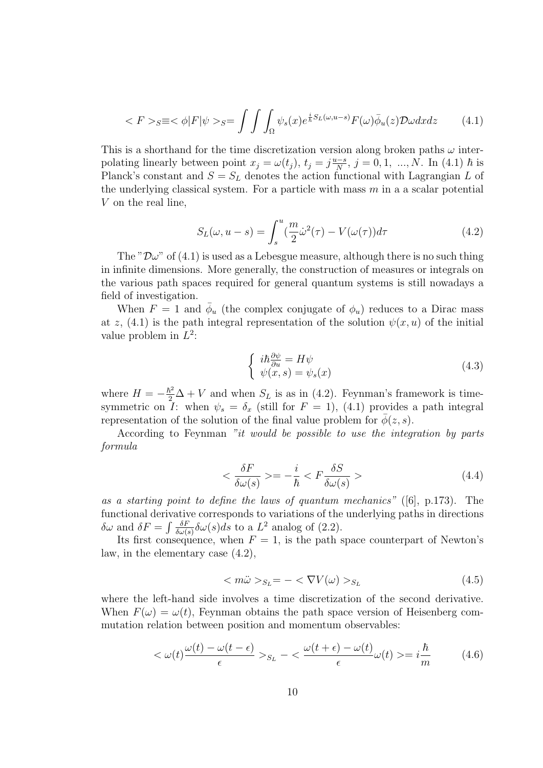$$
\langle F \rangle_{S} \equiv \langle \phi | F | \psi \rangle_{S} = \int \int \int_{\Omega} \psi_{s}(x) e^{\frac{i}{\hbar} S_{L}(\omega, u - s)} F(\omega) \bar{\phi}_{u}(z) \mathcal{D}\omega dx dz \tag{4.1}
$$

This is a shorthand for the time discretization version along broken paths  $\omega$  interpolating linearly between point  $x_j = \omega(t_j)$ ,  $t_j = j\frac{u-s}{N}$  $\frac{d-8}{N}$ ,  $j = 0, 1, ..., N$ . In (4.1)  $\hbar$  is Planck's constant and  $S = S_L$  denotes the action functional with Lagrangian L of the underlying classical system. For a particle with mass  $m$  in a a scalar potential V on the real line,

$$
S_L(\omega, u - s) = \int_s^u \left(\frac{m}{2}\dot{\omega}^2(\tau) - V(\omega(\tau))\right) d\tau \tag{4.2}
$$

The " $\mathcal{D}\omega$ " of (4.1) is used as a Lebesgue measure, although there is no such thing in infinite dimensions. More generally, the construction of measures or integrals on the various path spaces required for general quantum systems is still nowadays a field of investigation.

When  $F = 1$  and  $\bar{\phi}_u$  (the complex conjugate of  $\phi_u$ ) reduces to a Dirac mass at z,  $(4.1)$  is the path integral representation of the solution  $\psi(x, u)$  of the initial value problem in  $L^2$ :

$$
\begin{cases} i\hbar \frac{\partial \psi}{\partial u} = H\psi\\ \psi(x,s) = \psi_s(x) \end{cases} \tag{4.3}
$$

where  $H = -\frac{\hbar^2}{2}\Delta + V$  and when  $S_L$  is as in (4.2). Feynman's framework is timesymmetric on I: when  $\psi_s = \delta_x$  (still for  $F = 1$ ), (4.1) provides a path integral representation of the solution of the final value problem for  $\phi(z, s)$ .

According to Feynman "it would be possible to use the integration by parts formula

$$
\langle \frac{\delta F}{\delta \omega(s)} \rangle = -\frac{i}{\hbar} \langle F \frac{\delta S}{\delta \omega(s)} \rangle \tag{4.4}
$$

as a starting point to define the laws of quantum mechanics" ([6], p.173). The functional derivative corresponds to variations of the underlying paths in directions  $\delta \omega$  and  $\delta F = \int \frac{\delta F}{\delta \omega}$  $\frac{\delta F}{\delta \omega(s)}$   $\delta \omega(s)ds$  to a  $L^2$  analog of (2.2).

Its first consequence, when  $F = 1$ , is the path space counterpart of Newton's law, in the elementary case (4.2),

$$
\langle m\ddot{\omega} \rangle_{S_L} = -\langle \nabla V(\omega) \rangle_{S_L} \tag{4.5}
$$

where the left-hand side involves a time discretization of the second derivative. When  $F(\omega) = \omega(t)$ , Feynman obtains the path space version of Heisenberg commutation relation between position and momentum observables:

$$
\langle \omega(t) \frac{\omega(t) - \omega(t - \epsilon)}{\epsilon} \rangle_{S_L} - \langle \frac{\omega(t + \epsilon) - \omega(t)}{\epsilon} \omega(t) \rangle = i \frac{\hbar}{m} \tag{4.6}
$$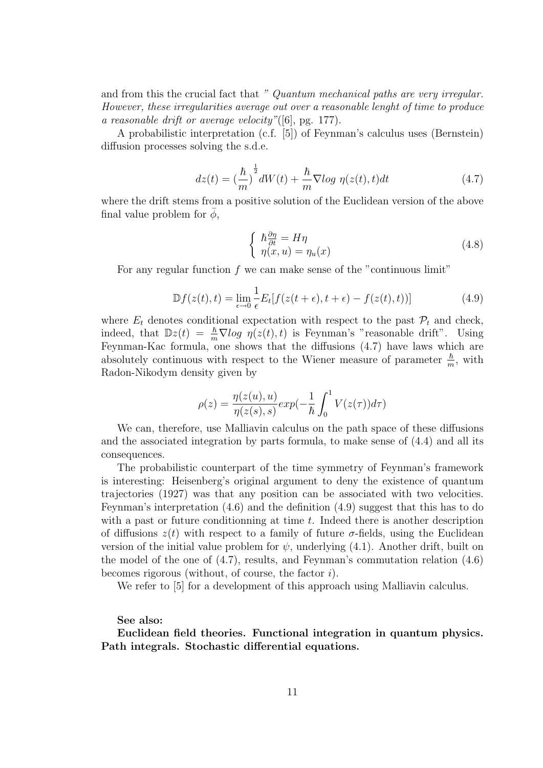and from this the crucial fact that " Quantum mechanical paths are very irregular. However, these irregularities average out over a reasonable lenght of time to produce a reasonable drift or average velocity"([6], pg. 177).

A probabilistic interpretation (c.f. [5]) of Feynman's calculus uses (Bernstein) diffusion processes solving the s.d.e.

$$
dz(t) = \left(\frac{\hbar}{m}\right)^{\frac{1}{2}} dW(t) + \frac{\hbar}{m} \nabla \log \eta(z(t), t) dt \tag{4.7}
$$

where the drift stems from a positive solution of the Euclidean version of the above final value problem for  $\phi$ ,

$$
\begin{cases}\n\hbar \frac{\partial \eta}{\partial t} = H\eta \\
\eta(x, u) = \eta_u(x)\n\end{cases} \tag{4.8}
$$

For any regular function f we can make sense of the "continuous limit"

$$
\mathbb{D}f(z(t),t) = \lim_{\epsilon \to 0} \frac{1}{\epsilon} E_t[f(z(t+\epsilon), t+\epsilon) - f(z(t), t))]
$$
(4.9)

where  $E_t$  denotes conditional expectation with respect to the past  $\mathcal{P}_t$  and check, indeed, that  $\mathbb{D}z(t) = \frac{\hbar}{m} \nabla \log \eta(z(t), t)$  is Feynman's "reasonable drift". Using Feynman-Kac formula, one shows that the diffusions (4.7) have laws which are absolutely continuous with respect to the Wiener measure of parameter  $\frac{\hbar}{m}$ , with Radon-Nikodym density given by

$$
\rho(z) = \frac{\eta(z(u), u)}{\eta(z(s), s)} exp(-\frac{1}{\hbar} \int_0^1 V(z(\tau)) d\tau)
$$

We can, therefore, use Malliavin calculus on the path space of these diffusions and the associated integration by parts formula, to make sense of (4.4) and all its consequences.

The probabilistic counterpart of the time symmetry of Feynman's framework is interesting: Heisenberg's original argument to deny the existence of quantum trajectories (1927) was that any position can be associated with two velocities. Feynman's interpretation (4.6) and the definition (4.9) suggest that this has to do with a past or future conditionning at time  $t$ . Indeed there is another description of diffusions  $z(t)$  with respect to a family of future  $\sigma$ -fields, using the Euclidean version of the initial value problem for  $\psi$ , underlying (4.1). Another drift, built on the model of the one of (4.7), results, and Feynman's commutation relation (4.6) becomes rigorous (without, of course, the factor  $i$ ).

We refer to [5] for a development of this approach using Malliavin calculus.

#### See also:

Euclidean field theories. Functional integration in quantum physics. Path integrals. Stochastic differential equations.